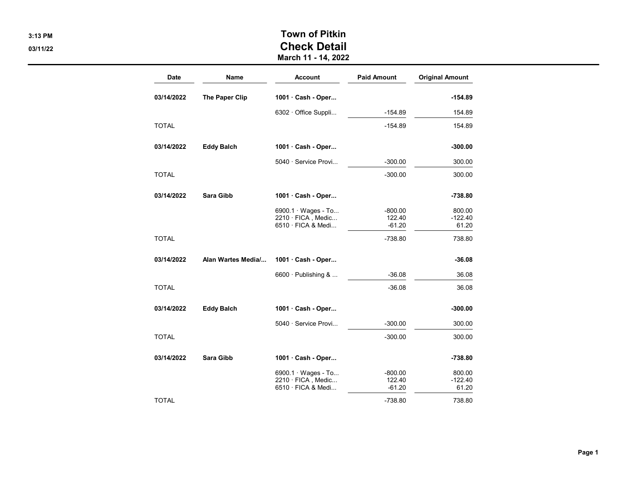## 3:13 PM Town of Pitkin 03/11/22 Check Detail

March 11 - 14, 2022

| <b>Date</b>  | Name               | <b>Account</b>                                                        | <b>Paid Amount</b>              | <b>Original Amount</b>       |
|--------------|--------------------|-----------------------------------------------------------------------|---------------------------------|------------------------------|
| 03/14/2022   | The Paper Clip     | 1001 Cash - Oper                                                      |                                 | $-154.89$                    |
|              |                    | 6302 · Office Suppli                                                  | $-154.89$                       | 154.89                       |
| <b>TOTAL</b> |                    |                                                                       | $-154.89$                       | 154.89                       |
| 03/14/2022   | <b>Eddy Balch</b>  | 1001 Cash - Oper                                                      |                                 | $-300.00$                    |
|              |                    | 5040 · Service Provi                                                  | $-300.00$                       | 300.00                       |
| <b>TOTAL</b> |                    |                                                                       | $-300.00$                       | 300.00                       |
| 03/14/2022   | <b>Sara Gibb</b>   | 1001 Cash - Oper                                                      |                                 | $-738.80$                    |
|              |                    | 6900.1 $\cdot$ Wages - To<br>2210 · FICA, Medic<br>6510 · FICA & Medi | $-800.00$<br>122.40<br>$-61.20$ | 800.00<br>$-122.40$<br>61.20 |
| <b>TOTAL</b> |                    |                                                                       | $-738.80$                       | 738.80                       |
| 03/14/2022   | Alan Wartes Media/ | 1001 Cash - Oper                                                      |                                 | $-36.08$                     |
|              |                    | 6600 $\cdot$ Publishing &                                             | $-36.08$                        | 36.08                        |
| <b>TOTAL</b> |                    |                                                                       | $-36.08$                        | 36.08                        |
| 03/14/2022   | <b>Eddy Balch</b>  | 1001 Cash - Oper                                                      |                                 | $-300.00$                    |
|              |                    | 5040 · Service Provi                                                  | $-300.00$                       | 300.00                       |
| <b>TOTAL</b> |                    |                                                                       | $-300.00$                       | 300.00                       |
| 03/14/2022   | <b>Sara Gibb</b>   | 1001 Cash - Oper                                                      |                                 | $-738.80$                    |
|              |                    | 6900.1 $\cdot$ Wages - To<br>2210 · FICA, Medic<br>6510 · FICA & Medi | $-800.00$<br>122.40<br>$-61.20$ | 800.00<br>$-122.40$<br>61.20 |
| <b>TOTAL</b> |                    |                                                                       | $-738.80$                       | 738.80                       |